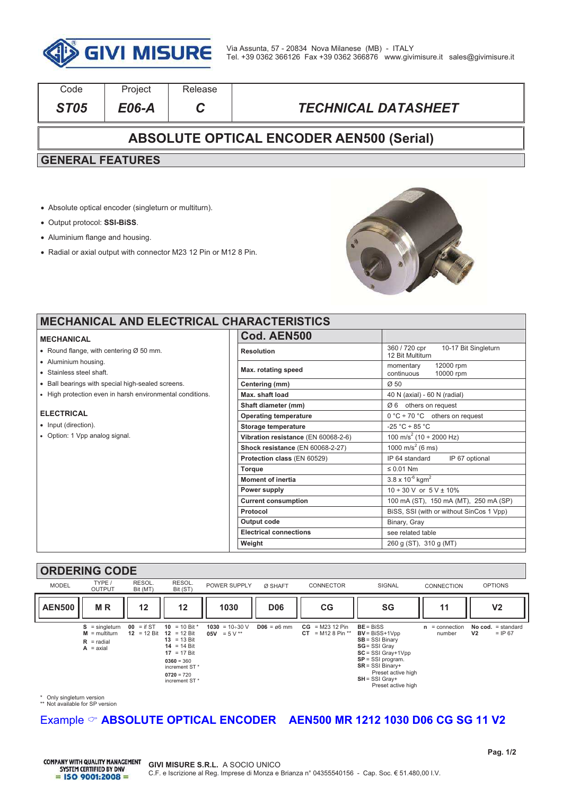

| Code                                            | Project | Release |                            |  |  |  |
|-------------------------------------------------|---------|---------|----------------------------|--|--|--|
| <b>ST05</b>                                     | E06-A   |         | <b>TECHNICAL DATASHEET</b> |  |  |  |
| <b>ABSOLUTE OPTICAL ENCODER AEN500 (Serial)</b> |         |         |                            |  |  |  |
| <b>GENERAL FEATURES</b>                         |         |         |                            |  |  |  |
|                                                 |         |         |                            |  |  |  |

- ! Absolute optical encoder (singleturn or multiturn).
- ! Output protocol: **SSI-BiSS**.
- Aluminium flange and housing.
- ! Radial or axial output with connector M23 12 Pin or M12 8 Pin.



┚ ī

### **MECHANICAL AND ELECTRICAL CH**

#### **MECHANICAL**

- $\bullet$  Round flange, with centering Ø 50 mm.
- Aluminium housing.
- . Stainless steel shaft
- . Ball bearings with special high-sealed screens.
- ! High protection even in harsh environmental conditions.

### **ELECTRICAL**

- Input (direction).
- Option: 1 Vpp analog signal.

| <b>IARACTERISTICS</b>               |                                                           |
|-------------------------------------|-----------------------------------------------------------|
| Cod. AEN500                         |                                                           |
| <b>Resolution</b>                   | 360 / 720 cpr<br>10-17 Bit Singleturn<br>12 Bit Multiturn |
| Max. rotating speed                 | 12000 rpm<br>momentary<br>continuous<br>10000 rpm         |
| Centering (mm)                      | $\varnothing$ 50                                          |
| Max. shaft load                     | 40 N (axial) - 60 N (radial)                              |
| Shaft diameter (mm)                 | $\varnothing$ 6 others on request                         |
| <b>Operating temperature</b>        | $0^{\circ}$ C ÷ 70 °C others on request                   |
| <b>Storage temperature</b>          | $-25 °C \div 85 °C$                                       |
| Vibration resistance (EN 60068-2-6) | 100 m/s <sup>2</sup> (10 ÷ 2000 Hz)                       |
| Shock resistance (EN 60068-2-27)    | 1000 m/s <sup>2</sup> (6 ms)                              |
| Protection class (EN 60529)         | IP 64 standard<br>IP 67 optional                          |
| <b>Torque</b>                       | $\leq 0.01$ Nm                                            |
| <b>Moment of inertia</b>            | $3.8 \times 10^{-6}$ kgm <sup>2</sup>                     |
| Power supply                        | $10 \div 30$ V or $5$ V $\pm$ 10%                         |
| <b>Current consumption</b>          | 100 mA (ST), 150 mA (MT), 250 mA (SP)                     |
| Protocol                            | BiSS, SSI (with or without SinCos 1 Vpp)                  |
| Output code                         | Binary, Gray                                              |
| <b>Electrical connections</b>       | see related table                                         |
| Weight                              | 260 g (ST), 310 g (MT)                                    |

## **ORDERING CODE**

| <b>MODEL</b>  | TYPE /<br><b>OUTPUT</b>                                                   | RESOL.<br>Bit (MT)          | RESOL.<br>Bit (ST)                                                                                                                                            | POWER SUPPLY                          | Ø SHAFT                | <b>CONNECTOR</b>                          | <b>SIGNAL</b>                                                                                                                                                                                                 | <b>CONNECTION</b>           | <b>OPTIONS</b>                                       |
|---------------|---------------------------------------------------------------------------|-----------------------------|---------------------------------------------------------------------------------------------------------------------------------------------------------------|---------------------------------------|------------------------|-------------------------------------------|---------------------------------------------------------------------------------------------------------------------------------------------------------------------------------------------------------------|-----------------------------|------------------------------------------------------|
| <b>AEN500</b> | <b>MR</b>                                                                 | 12                          | 12                                                                                                                                                            | 1030                                  | <b>D06</b>             | CG                                        | SG                                                                                                                                                                                                            | 11                          | V <sub>2</sub>                                       |
|               | $S =$ singleturn<br>$M = \text{multiturn}$<br>$R =$ radial<br>$A = axial$ | $00 = if ST$<br>12 = 12 Bit | 10 = 10 Bit *<br>12 = 12 Bit<br>$13 = 13$ Bit<br>$14 = 14$ Bit<br>$17 = 17$ Bit<br>$0360 = 360$<br>increment ST <sup>*</sup><br>$0720 = 720$<br>increment ST* | $1030 = 10 \div 30$ V<br>05V = $5V^*$ | $D06 = \emptyset 6$ mm | $CG = M23 12 Pin$<br>$=M128$ Pin **<br>CT | $BE = BISS$<br>$BV = BISS + 1Vpp$<br>$SB = SSI Binary$<br>SG = SSI Gray<br>$SC = SSI$ Gray+1Vpp<br>$SP = SSI program$ .<br>$SR = SSI Binary+$<br>Preset active high<br>$SH = SSI$ Gray+<br>Preset active high | = connection<br>n<br>number | = standard<br>No cod.<br>V <sub>2</sub><br>$=$ IP 67 |

\* Only singleturn version \*\* Not available for SP version

# Example  $\heartsuit$  **ABSOLUTE OPTICAL ENCODER** AEN500 MR 1212 1030 D06 CG SG 11 V2